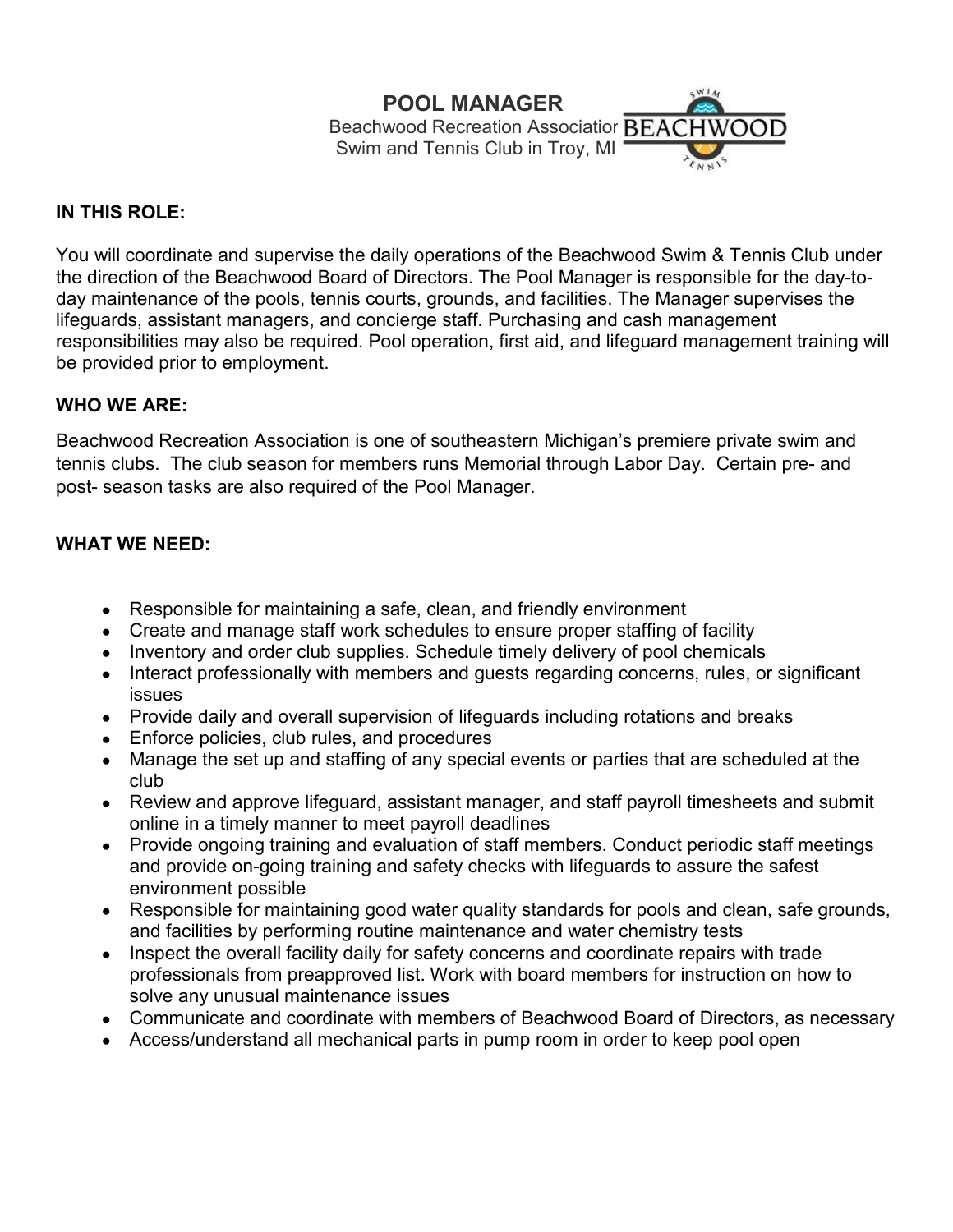# **POOL MANAGER**

Beachwood Recreation Associatior BEACHWOOD Swim and Tennis Club in Troy, MI

 $W14$ 

## **IN THIS ROLE:**

You will coordinate and supervise the daily operations of the Beachwood Swim & Tennis Club under the direction of the Beachwood Board of Directors. The Pool Manager is responsible for the day-today maintenance of the pools, tennis courts, grounds, and facilities. The Manager supervises the lifeguards, assistant managers, and concierge staff. Purchasing and cash management responsibilities may also be required. Pool operation, first aid, and lifeguard management training will be provided prior to employment.

#### **WHO WE ARE:**

Beachwood Recreation Association is one of southeastern Michigan's premiere private swim and tennis clubs. The club season for members runs Memorial through Labor Day. Certain pre- and post- season tasks are also required of the Pool Manager.

#### **WHAT WE NEED:**

- Responsible for maintaining a safe, clean, and friendly environment
- Create and manage staff work schedules to ensure proper staffing of facility
- Inventory and order club supplies. Schedule timely delivery of pool chemicals
- Interact professionally with members and guests regarding concerns, rules, or significant issues
- Provide daily and overall supervision of lifeguards including rotations and breaks
- Enforce policies, club rules, and procedures
- Manage the set up and staffing of any special events or parties that are scheduled at the club
- Review and approve lifeguard, assistant manager, and staff payroll timesheets and submit online in a timely manner to meet payroll deadlines
- Provide ongoing training and evaluation of staff members. Conduct periodic staff meetings and provide on-going training and safety checks with lifeguards to assure the safest environment possible
- Responsible for maintaining good water quality standards for pools and clean, safe grounds, and facilities by performing routine maintenance and water chemistry tests
- Inspect the overall facility daily for safety concerns and coordinate repairs with trade professionals from preapproved list. Work with board members for instruction on how to solve any unusual maintenance issues
- Communicate and coordinate with members of Beachwood Board of Directors, as necessary
- Access/understand all mechanical parts in pump room in order to keep pool open